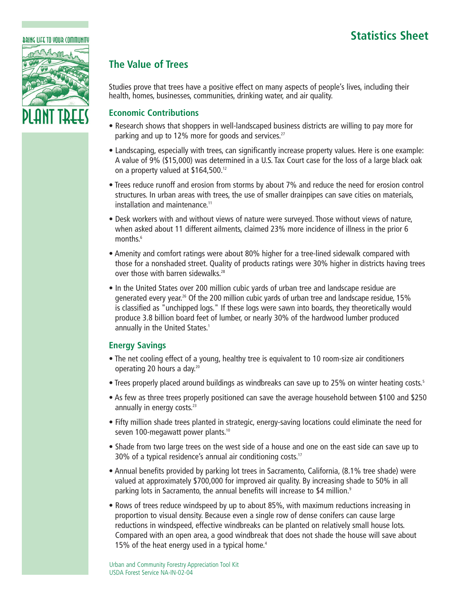# **Statistics Sheet**



## **The Value of Trees**

Studies prove that trees have a positive effect on many aspects of people's lives, including their health, homes, businesses, communities, drinking water, and air quality.

### **Economic Contributions**

- Research shows that shoppers in well-landscaped business districts are willing to pay more for parking and up to 12% more for goods and services.<sup>27</sup>
- Landscaping, especially with trees, can significantly increase property values. Here is one example: A value of 9% (\$15,000) was determined in a U.S. Tax Court case for the loss of a large black oak on a property valued at \$164,500.<sup>12</sup>
- Trees reduce runoff and erosion from storms by about 7% and reduce the need for erosion control structures. In urban areas with trees, the use of smaller drainpipes can save cities on materials, installation and maintenance.11
- Desk workers with and without views of nature were surveyed. Those without views of nature, when asked about 11 different ailments, claimed 23% more incidence of illness in the prior 6 months.<sup>6</sup>
- Amenity and comfort ratings were about 80% higher for a tree-lined sidewalk compared with those for a nonshaded street. Quality of products ratings were 30% higher in districts having trees over those with barren sidewalks.<sup>28</sup>
- In the United States over 200 million cubic yards of urban tree and landscape residue are generated every year.<sup>26</sup> Of the 200 million cubic yards of urban tree and landscape residue, 15% is classified as "unchipped logs." If these logs were sawn into boards, they theoretically would produce 3.8 billion board feet of lumber, or nearly 30% of the hardwood lumber produced annually in the United States.<sup>1</sup>

### **Energy Savings**

- The net cooling effect of a young, healthy tree is equivalent to 10 room-size air conditioners operating 20 hours a day.20
- Trees properly placed around buildings as windbreaks can save up to 25% on winter heating costs.<sup>5</sup>
- As few as three trees properly positioned can save the average household between \$100 and \$250 annually in energy costs.<sup>23</sup>
- Fifty million shade trees planted in strategic, energy-saving locations could eliminate the need for seven 100-megawatt power plants.<sup>10</sup>
- Shade from two large trees on the west side of a house and one on the east side can save up to 30% of a typical residence's annual air conditioning costs.<sup>17</sup>
- Annual benefits provided by parking lot trees in Sacramento, California, (8.1% tree shade) were valued at approximately \$700,000 for improved air quality. By increasing shade to 50% in all parking lots in Sacramento, the annual benefits will increase to \$4 million.<sup>9</sup>
- Rows of trees reduce windspeed by up to about 85%, with maximum reductions increasing in proportion to visual density. Because even a single row of dense conifers can cause large reductions in windspeed, effective windbreaks can be planted on relatively small house lots. Compared with an open area, a good windbreak that does not shade the house will save about 15% of the heat energy used in a typical home. $4$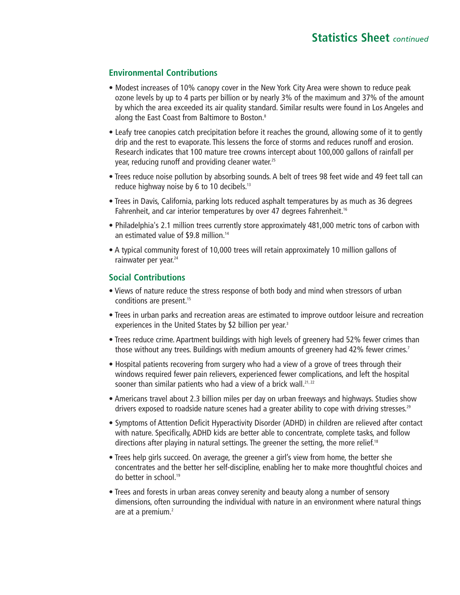#### **Environmental Contributions**

- Modest increases of 10% canopy cover in the New York City Area were shown to reduce peak ozone levels by up to 4 parts per billion or by nearly 3% of the maximum and 37% of the amount by which the area exceeded its air quality standard. Similar results were found in Los Angeles and along the East Coast from Baltimore to Boston.<sup>8</sup>
- Leafy tree canopies catch precipitation before it reaches the ground, allowing some of it to gently drip and the rest to evaporate. This lessens the force of storms and reduces runoff and erosion. Research indicates that 100 mature tree crowns intercept about 100,000 gallons of rainfall per year, reducing runoff and providing cleaner water.<sup>25</sup>
- Trees reduce noise pollution by absorbing sounds. A belt of trees 98 feet wide and 49 feet tall can reduce highway noise by 6 to 10 decibels.<sup>13</sup>
- Trees in Davis, California, parking lots reduced asphalt temperatures by as much as 36 degrees Fahrenheit, and car interior temperatures by over 47 degrees Fahrenheit.<sup>16</sup>
- Philadelphia's 2.1 million trees currently store approximately 481,000 metric tons of carbon with an estimated value of \$9.8 million.<sup>14</sup>
- A typical community forest of 10,000 trees will retain approximately 10 million gallons of rainwater per year.<sup>24</sup>

#### **Social Contributions**

- Views of nature reduce the stress response of both body and mind when stressors of urban conditions are present.<sup>15</sup>
- Trees in urban parks and recreation areas are estimated to improve outdoor leisure and recreation experiences in the United States by \$2 billion per year.<sup>3</sup>
- Trees reduce crime. Apartment buildings with high levels of greenery had 52% fewer crimes than those without any trees. Buildings with medium amounts of greenery had 42% fewer crimes.<sup>7</sup>
- Hospital patients recovering from surgery who had a view of a grove of trees through their windows required fewer pain relievers, experienced fewer complications, and left the hospital sooner than similar patients who had a view of a brick wall.<sup>21,22</sup>
- Americans travel about 2.3 billion miles per day on urban freeways and highways. Studies show drivers exposed to roadside nature scenes had a greater ability to cope with driving stresses.<sup>29</sup>
- Symptoms of Attention Deficit Hyperactivity Disorder (ADHD) in children are relieved after contact with nature. Specifically, ADHD kids are better able to concentrate, complete tasks, and follow directions after playing in natural settings. The greener the setting, the more relief.<sup>18</sup>
- Trees help girls succeed. On average, the greener a girl's view from home, the better she concentrates and the better her self-discipline, enabling her to make more thoughtful choices and do better in school.19
- Trees and forests in urban areas convey serenity and beauty along a number of sensory dimensions, often surrounding the individual with nature in an environment where natural things are at a premium.<sup>2</sup>